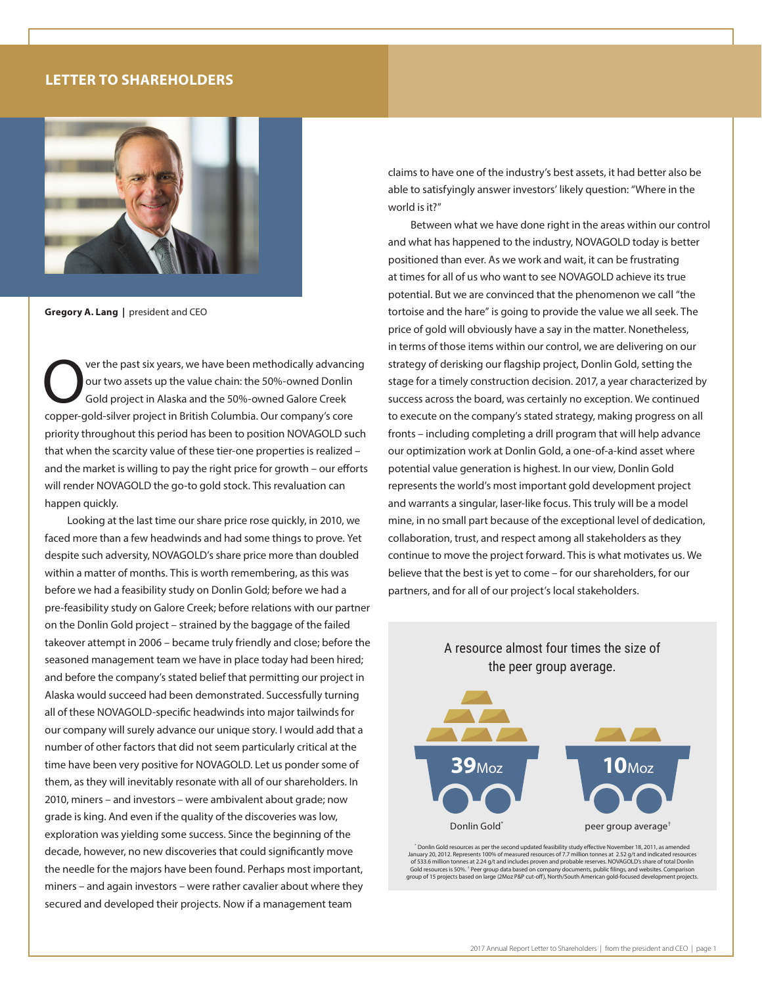## **LETTER TO SHAREHOLDERS**



**Gregory A. Lang |** president and CEO

ver the past six years, we have been methodically advancing our two assets up the value chain: the 50%-owned Donlin Gold project in Alaska and the 50%-owned Galore Creek copper-gold-silver project in British Columbia. Our company's core priority throughout this period has been to position NOVAGOLD such that when the scarcity value of these tier-one properties is realized – and the market is willing to pay the right price for growth – our efforts will render NOVAGOLD the go-to gold stock. This revaluation can happen quickly.

Looking at the last time our share price rose quickly, in 2010, we faced more than a few headwinds and had some things to prove. Yet despite such adversity, NOVAGOLD's share price more than doubled within a matter of months. This is worth remembering, as this was before we had a feasibility study on Donlin Gold; before we had a pre-feasibility study on Galore Creek; before relations with our partner on the Donlin Gold project – strained by the baggage of the failed takeover attempt in 2006 – became truly friendly and close; before the seasoned management team we have in place today had been hired; and before the company's stated belief that permitting our project in Alaska would succeed had been demonstrated. Successfully turning all of these NOVAGOLD-specific headwinds into major tailwinds for our company will surely advance our unique story. I would add that a number of other factors that did not seem particularly critical at the time have been very positive for NOVAGOLD. Let us ponder some of them, as they will inevitably resonate with all of our shareholders. In 2010, miners – and investors – were ambivalent about grade; now grade is king. And even if the quality of the discoveries was low, exploration was yielding some success. Since the beginning of the decade, however, no new discoveries that could significantly move the needle for the majors have been found. Perhaps most important, miners – and again investors – were rather cavalier about where they secured and developed their projects. Now if a management team

claims to have one of the industry's best assets, it had better also be able to satisfyingly answer investors' likely question: "Where in the world is it?"

Between what we have done right in the areas within our control and what has happened to the industry, NOVAGOLD today is better positioned than ever. As we work and wait, it can be frustrating at times for all of us who want to see NOVAGOLD achieve its true potential. But we are convinced that the phenomenon we call "the tortoise and the hare" is going to provide the value we all seek. The price of gold will obviously have a say in the matter. Nonetheless, in terms of those items within our control, we are delivering on our strategy of derisking our flagship project, Donlin Gold, setting the stage for a timely construction decision. 2017, a year characterized by success across the board, was certainly no exception. We continued to execute on the company's stated strategy, making progress on all fronts – including completing a drill program that will help advance our optimization work at Donlin Gold, a one-of-a-kind asset where potential value generation is highest. In our view, Donlin Gold represents the world's most important gold development project and warrants a singular, laser-like focus. This truly will be a model mine, in no small part because of the exceptional level of dedication, collaboration, trust, and respect among all stakeholders as they continue to move the project forward. This is what motivates us. We believe that the best is yet to come – for our shareholders, for our partners, and for all of our project's local stakeholders.



A resource almost four times the size of

Donlin Gold resources as per the second updated feasibility study effective November 18, 2011, as amended ``<br>January 20, 2012. Represents 100% of measured resources of 7.7 million tonnes at 2.52 g/t and indicated resources Gold resources is 50%. † Peer group data based on company documents, public filings, and websites. Comparison group of 15 projects based on large (2Moz P&P cut-off), North/South American gold-focused development projects.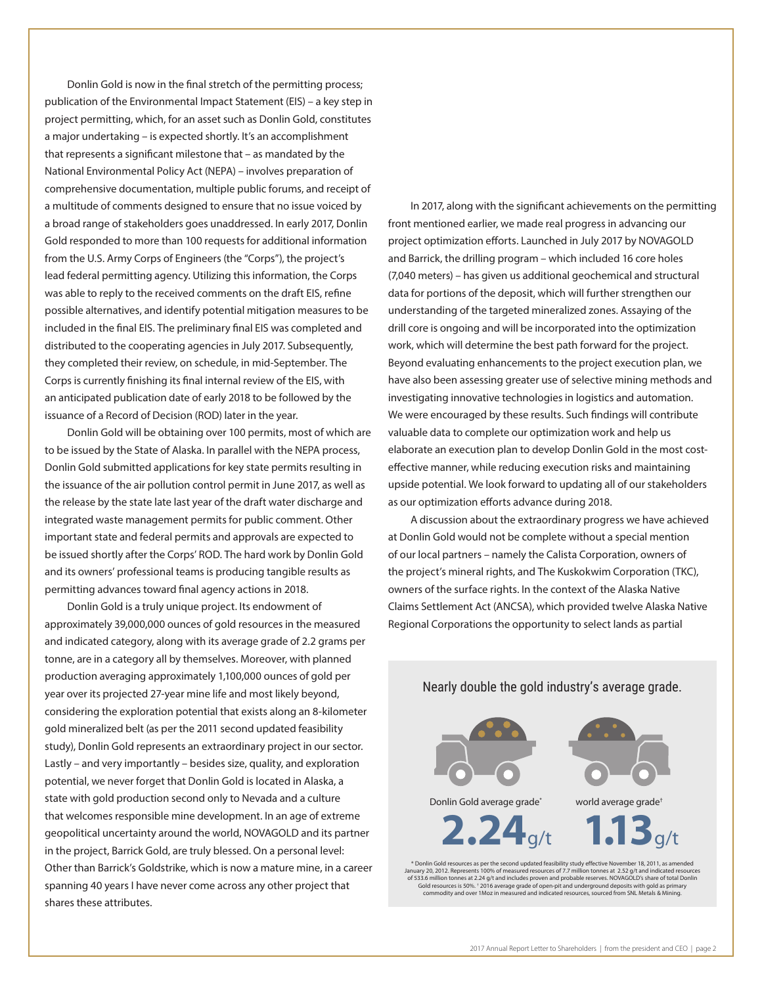Donlin Gold is now in the final stretch of the permitting process; publication of the Environmental Impact Statement (EIS) – a key step in project permitting, which, for an asset such as Donlin Gold, constitutes a major undertaking – is expected shortly. It's an accomplishment that represents a significant milestone that – as mandated by the National Environmental Policy Act (NEPA) – involves preparation of comprehensive documentation, multiple public forums, and receipt of a multitude of comments designed to ensure that no issue voiced by a broad range of stakeholders goes unaddressed. In early 2017, Donlin Gold responded to more than 100 requests for additional information from the U.S. Army Corps of Engineers (the "Corps"), the project's lead federal permitting agency. Utilizing this information, the Corps was able to reply to the received comments on the draft EIS, refine possible alternatives, and identify potential mitigation measures to be included in the final EIS. The preliminary final EIS was completed and distributed to the cooperating agencies in July 2017. Subsequently, they completed their review, on schedule, in mid-September. The Corps is currently finishing its final internal review of the EIS, with an anticipated publication date of early 2018 to be followed by the issuance of a Record of Decision (ROD) later in the year.

Donlin Gold will be obtaining over 100 permits, most of which are to be issued by the State of Alaska. In parallel with the NEPA process, Donlin Gold submitted applications for key state permits resulting in the issuance of the air pollution control permit in June 2017, as well as the release by the state late last year of the draft water discharge and integrated waste management permits for public comment. Other important state and federal permits and approvals are expected to be issued shortly after the Corps' ROD. The hard work by Donlin Gold and its owners' professional teams is producing tangible results as permitting advances toward final agency actions in 2018.

Donlin Gold is a truly unique project. Its endowment of approximately 39,000,000 ounces of gold resources in the measured and indicated category, along with its average grade of 2.2 grams per tonne, are in a category all by themselves. Moreover, with planned production averaging approximately 1,100,000 ounces of gold per year over its projected 27-year mine life and most likely beyond, considering the exploration potential that exists along an 8-kilometer gold mineralized belt (as per the 2011 second updated feasibility study), Donlin Gold represents an extraordinary project in our sector. Lastly – and very importantly – besides size, quality, and exploration potential, we never forget that Donlin Gold is located in Alaska, a state with gold production second only to Nevada and a culture that welcomes responsible mine development. In an age of extreme geopolitical uncertainty around the world, NOVAGOLD and its partner in the project, Barrick Gold, are truly blessed. On a personal level: Other than Barrick's Goldstrike, which is now a mature mine, in a career spanning 40 years I have never come across any other project that shares these attributes.

In 2017, along with the significant achievements on the permitting front mentioned earlier, we made real progress in advancing our project optimization efforts. Launched in July 2017 by NOVAGOLD and Barrick, the drilling program – which included 16 core holes (7,040 meters) – has given us additional geochemical and structural data for portions of the deposit, which will further strengthen our understanding of the targeted mineralized zones. Assaying of the drill core is ongoing and will be incorporated into the optimization work, which will determine the best path forward for the project. Beyond evaluating enhancements to the project execution plan, we have also been assessing greater use of selective mining methods and investigating innovative technologies in logistics and automation. We were encouraged by these results. Such findings will contribute valuable data to complete our optimization work and help us elaborate an execution plan to develop Donlin Gold in the most costeffective manner, while reducing execution risks and maintaining upside potential. We look forward to updating all of our stakeholders as our optimization efforts advance during 2018.

A discussion about the extraordinary progress we have achieved at Donlin Gold would not be complete without a special mention of our local partners – namely the Calista Corporation, owners of the project's mineral rights, and The Kuskokwim Corporation (TKC), owners of the surface rights. In the context of the Alaska Native Claims Settlement Act (ANCSA), which provided twelve Alaska Native Regional Corporations the opportunity to select lands as partial



Nearly double the gold industry's average grade.

**2.24**g/t **1.13**g/t

\* Donlin Gold resources as per the second updated feasibility study effective November 18, 2011, as amended January 20, 2012. Represents 100% of measured resources of 7.7 million tonnes at 2.52 g/t and indicated resources of 533.6 million tonnes at 2.24 g/t and includes proven and probable reserves. NOVAGOLD's share of total Donlin<br>Gold resources is 50%: 2016 average grade of open-pit and underground deposits with gold as primary<br>commodity